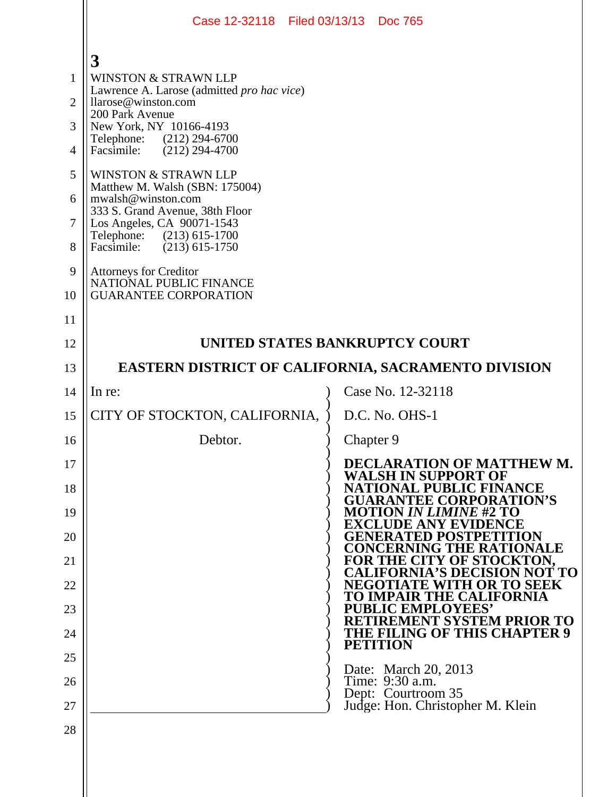|                                                                                                         | Case 12-32118 Filed 03/13/13 Doc 765                                                                                                                                                                                                                                                                                                                                                                                                                                                                                        |                                                                               |
|---------------------------------------------------------------------------------------------------------|-----------------------------------------------------------------------------------------------------------------------------------------------------------------------------------------------------------------------------------------------------------------------------------------------------------------------------------------------------------------------------------------------------------------------------------------------------------------------------------------------------------------------------|-------------------------------------------------------------------------------|
| $\mathbf{1}$<br>$\overline{2}$<br>3<br>$\overline{4}$<br>5<br>6<br>$\overline{7}$<br>8<br>9<br>10<br>11 | 3<br><b>WINSTON &amp; STRAWN LLP</b><br>Lawrence A. Larose (admitted pro hac vice)<br>llarose@winston.com<br>200 Park Avenue<br>New York, NY 10166-4193<br>Telephone: (212) 294-6700<br>$(212)$ 294-4700<br>Facsimile:<br>WINSTON & STRAWN LLP<br>Matthew M. Walsh (SBN: 175004)<br>mwalsh@winston.com<br>333 S. Grand Avenue, 38th Floor<br>Los Angeles, CA 90071-1543<br>Telephone: (213) 615-1700<br>Facsimile:<br>$(213)$ 615-1750<br>Attorneys for Creditor<br>NATIONAL PUBLIC FINANCE<br><b>GUARANTEE CORPORATION</b> |                                                                               |
| 12                                                                                                      | UNITED STATES BANKRUPTCY COURT                                                                                                                                                                                                                                                                                                                                                                                                                                                                                              |                                                                               |
| 13                                                                                                      | EASTERN DISTRICT OF CALIFORNIA, SACRAMENTO DIVISION                                                                                                                                                                                                                                                                                                                                                                                                                                                                         |                                                                               |
| 14                                                                                                      | In re:                                                                                                                                                                                                                                                                                                                                                                                                                                                                                                                      | Case No. 12-32118                                                             |
| 15                                                                                                      | CITY OF STOCKTON, CALIFORNIA,                                                                                                                                                                                                                                                                                                                                                                                                                                                                                               | D.C. No. OHS-1                                                                |
| 16                                                                                                      | Debtor.                                                                                                                                                                                                                                                                                                                                                                                                                                                                                                                     | Chapter 9                                                                     |
| 17                                                                                                      |                                                                                                                                                                                                                                                                                                                                                                                                                                                                                                                             | DECLARATION OF MATTHEW M.<br><b>WALSH IN SUPPORT OF</b>                       |
| 18                                                                                                      |                                                                                                                                                                                                                                                                                                                                                                                                                                                                                                                             | <b>NATIONAL PUBLIC FINANCE</b><br><b>GUARANTEE CORPORATION'S</b>              |
| 19                                                                                                      |                                                                                                                                                                                                                                                                                                                                                                                                                                                                                                                             | IOTION <i>IN LIMINE #</i> 2 TO<br>E AN<br>Y E                                 |
| 20                                                                                                      |                                                                                                                                                                                                                                                                                                                                                                                                                                                                                                                             | GENERATED POSTPE<br><b>CONCERNING THE RAT</b><br>NALE                         |
| 21                                                                                                      |                                                                                                                                                                                                                                                                                                                                                                                                                                                                                                                             | <b>Y OF STOCKTON.</b><br><b>FOR THE CI</b><br><b>FORNIA'S DECISION NOT TO</b> |
| 22                                                                                                      |                                                                                                                                                                                                                                                                                                                                                                                                                                                                                                                             | 'H OR TO SEEK<br>NEGOT<br>Ή,<br><b>THE CALIFORNIA</b>                         |
| 23                                                                                                      |                                                                                                                                                                                                                                                                                                                                                                                                                                                                                                                             | <b>UBLIC EMPLOYEES'</b><br>RETIREMENT SYSTEM PRIOR TO                         |
| 24                                                                                                      |                                                                                                                                                                                                                                                                                                                                                                                                                                                                                                                             | THE FILING OF THIS CHAPTER 9<br><b>PETITION</b>                               |
| 25                                                                                                      |                                                                                                                                                                                                                                                                                                                                                                                                                                                                                                                             | Date: March 20, 2013                                                          |
| 26                                                                                                      |                                                                                                                                                                                                                                                                                                                                                                                                                                                                                                                             | Time: 9:30 a.m.<br>Dept: Courtroom 35                                         |
| 27<br>28                                                                                                |                                                                                                                                                                                                                                                                                                                                                                                                                                                                                                                             | Judge: Hon. Christopher M. Klein                                              |
|                                                                                                         |                                                                                                                                                                                                                                                                                                                                                                                                                                                                                                                             |                                                                               |
|                                                                                                         |                                                                                                                                                                                                                                                                                                                                                                                                                                                                                                                             |                                                                               |
|                                                                                                         |                                                                                                                                                                                                                                                                                                                                                                                                                                                                                                                             |                                                                               |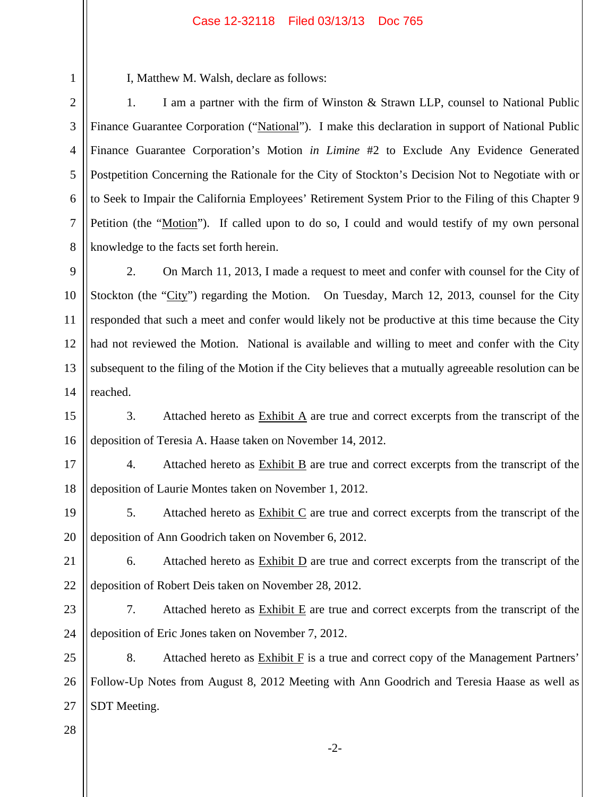## Case 12-32118 Filed 03/13/13 Doc 765

I, Matthew M. Walsh, declare as follows:

2 3 4 5 6 7 8 1. I am a partner with the firm of Winston & Strawn LLP, counsel to National Public Finance Guarantee Corporation ("National"). I make this declaration in support of National Public Finance Guarantee Corporation's Motion *in Limine* #2 to Exclude Any Evidence Generated Postpetition Concerning the Rationale for the City of Stockton's Decision Not to Negotiate with or to Seek to Impair the California Employees' Retirement System Prior to the Filing of this Chapter 9 Petition (the "Motion"). If called upon to do so, I could and would testify of my own personal knowledge to the facts set forth herein.

9 10 11 12 13 14 2. On March 11, 2013, I made a request to meet and confer with counsel for the City of Stockton (the "City") regarding the Motion. On Tuesday, March 12, 2013, counsel for the City responded that such a meet and confer would likely not be productive at this time because the City had not reviewed the Motion. National is available and willing to meet and confer with the City subsequent to the filing of the Motion if the City believes that a mutually agreeable resolution can be reached.

15 16 3. Attached hereto as Exhibit A are true and correct excerpts from the transcript of the deposition of Teresia A. Haase taken on November 14, 2012.

17 18 4. Attached hereto as Exhibit B are true and correct excerpts from the transcript of the deposition of Laurie Montes taken on November 1, 2012.

19 20 5. Attached hereto as  $\frac{Exhibit C}{Ce}$  are true and correct excerpts from the transcript of the deposition of Ann Goodrich taken on November 6, 2012.

21

1

6. Attached hereto as  $\overline{\text{Exhibit D}}$  are true and correct excerpts from the transcript of the deposition of Robert Deis taken on November 28, 2012.

23

22

24

7. Attached hereto as  $\overline{\text{Exhibit E}}$  are true and correct excerpts from the transcript of the deposition of Eric Jones taken on November 7, 2012.

25 26 27 8. Attached hereto as  $Exhibit F$  is a true and correct copy of the Management Partners' Follow-Up Notes from August 8, 2012 Meeting with Ann Goodrich and Teresia Haase as well as SDT Meeting.

28

-2-